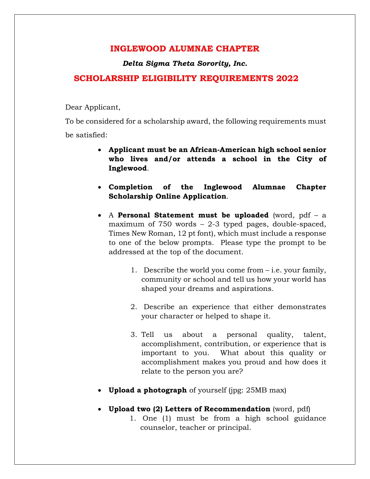## **INGLEWOOD ALUMNAE CHAPTER**

*Delta Sigma Theta Sorority, Inc.*

## **SCHOLARSHIP ELIGIBILITY REQUIREMENTS 2022**

Dear Applicant,

To be considered for a scholarship award, the following requirements must be satisfied:

- **Applicant must be an African-American high school senior who lives and/or attends a school in the City of Inglewood**.
- **Completion of the Inglewood Alumnae Chapter Scholarship Online Application**.
- A **Personal Statement must be uploaded** (word, pdf a maximum of 750 words – 2-3 typed pages, double-spaced, Times New Roman, 12 pt font), which must include a response to one of the below prompts. Please type the prompt to be addressed at the top of the document.
	- 1. Describe the world you come from i.e. your family, community or school and tell us how your world has shaped your dreams and aspirations.
	- 2. Describe an experience that either demonstrates your character or helped to shape it.
	- 3. Tell us about a personal quality, talent, accomplishment, contribution, or experience that is important to you. What about this quality or accomplishment makes you proud and how does it relate to the person you are?
- **Upload a photograph** of yourself (jpg: 25MB max)
- **Upload two (2) Letters of Recommendation** (word, pdf)
	- 1. One (1) must be from a high school guidance counselor, teacher or principal.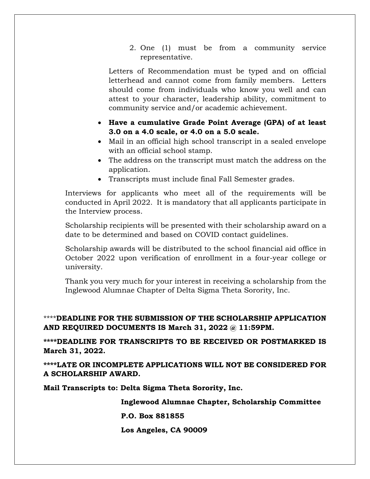2. One (1) must be from a community service representative.

Letters of Recommendation must be typed and on official letterhead and cannot come from family members. Letters should come from individuals who know you well and can attest to your character, leadership ability, commitment to community service and/or academic achievement.

- **Have a cumulative Grade Point Average (GPA) of at least 3.0 on a 4.0 scale, or 4.0 on a 5.0 scale.**
- Mail in an official high school transcript in a sealed envelope with an official school stamp.
- The address on the transcript must match the address on the application.
- Transcripts must include final Fall Semester grades.

Interviews for applicants who meet all of the requirements will be conducted in April 2022. It is mandatory that all applicants participate in the Interview process.

Scholarship recipients will be presented with their scholarship award on a date to be determined and based on COVID contact guidelines.

Scholarship awards will be distributed to the school financial aid office in October 2022 upon verification of enrollment in a four-year college or university.

Thank you very much for your interest in receiving a scholarship from the Inglewood Alumnae Chapter of Delta Sigma Theta Sorority, Inc.

\*\*\*\***DEADLINE FOR THE SUBMISSION OF THE SCHOLARSHIP APPLICATION AND REQUIRED DOCUMENTS IS March 31, 2022 @ 11:59PM.**

**\*\*\*\*DEADLINE FOR TRANSCRIPTS TO BE RECEIVED OR POSTMARKED IS March 31, 2022.**

**\*\*\*\*LATE OR INCOMPLETE APPLICATIONS WILL NOT BE CONSIDERED FOR A SCHOLARSHIP AWARD.**

**Mail Transcripts to: Delta Sigma Theta Sorority, Inc.**

 **Inglewood Alumnae Chapter, Scholarship Committee**

 **P.O. Box 881855**

 **Los Angeles, CA 90009**